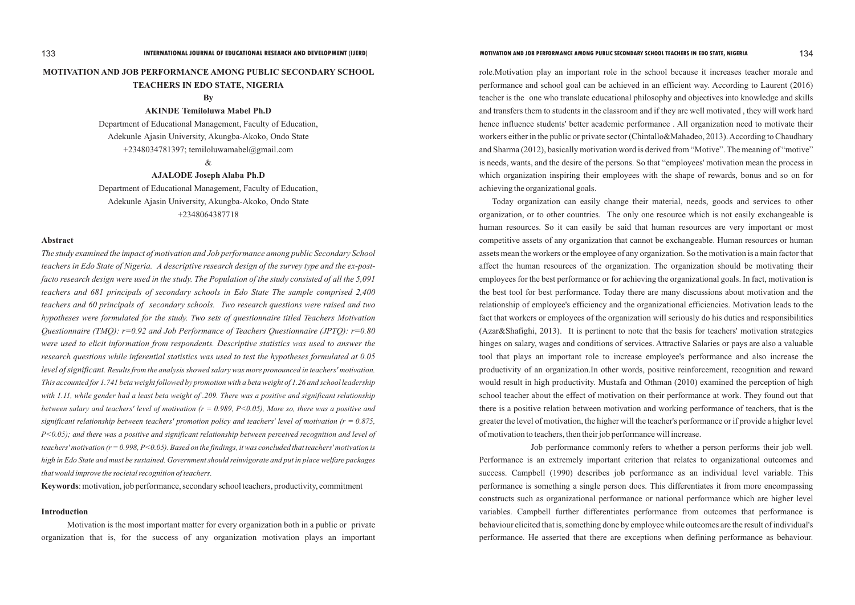## **MOTIVATION AND JOB PERFORMANCE AMONG PUBLIC SECONDARY SCHOOL TEACHERS IN EDO STATE, NIGERIA**

#### **By**

**AKINDE Temiloluwa Mabel Ph.D**

Department of Educational Management, Faculty of Education, Adekunle Ajasin University, Akungba-Akoko, Ondo State +2348034781397; temiloluwamabel@gmail.com

 $\&$ 

**AJALODE Joseph Alaba Ph.D**

Department of Educational Management, Faculty of Education, Adekunle Ajasin University, Akungba-Akoko, Ondo State +2348064387718

#### **Abstract**

*The study examined the impact of motivation and Job performance among public Secondary School teachers in Edo State of Nigeria. A descriptive research design of the survey type and the ex-postfacto research design were used in the study. The Population of the study consisted of all the 5,091 teachers and 681 principals of secondary schools in Edo State The sample comprised 2,400 teachers and 60 principals of secondary schools. Two research questions were raised and two hypotheses were formulated for the study. Two sets of questionnaire titled Teachers Motivation Questionnaire (TMQ): r=0.92 and Job Performance of Teachers Questionnaire (JPTQ): r=0.80 were used to elicit information from respondents. Descriptive statistics was used to answer the research questions while inferential statistics was used to test the hypotheses formulated at 0.05 level of significant. Results from the analysis showed salary was more pronounced in teachers' motivation. This accounted for 1.741 beta weight followed by promotion with a beta weight of 1.26 and school leadership with 1.11, while gender had a least beta weight of .209. There was a positive and significant relationship between salary and teachers' level of motivation (r = 0.989, P<0.05), More so, there was a positive and significant relationship between teachers' promotion policy and teachers' level of motivation (r = 0.875, P<0.05); and there was a positive and significant relationship between perceived recognition and level of teachers' motivation (r = 0.998, P<0.05). Based on the findings, it was concluded that teachers' motivation is high in Edo State and must be sustained. Government should reinvigorate and put in place welfare packages that would improve the societal recognition of teachers.* 

**Keywords**: motivation, job performance, secondary school teachers, productivity, commitment

#### **Introduction**

Motivation is the most important matter for every organization both in a public or private organization that is, for the success of any organization motivation plays an important role.Motivation play an important role in the school because it increases teacher morale and performance and school goal can be achieved in an efficient way. According to Laurent (2016) teacher is the one who translate educational philosophy and objectives into knowledge and skills and transfers them to students in the classroom and if they are well motivated , they will work hard hence influence students' better academic performance . All organization need to motivate their workers either in the public or private sector (Chintallo&Mahadeo, 2013). According to Chaudhary and Sharma (2012), basically motivation word is derived from "Motive". The meaning of "motive" is needs, wants, and the desire of the persons. So that "employees' motivation mean the process in which organization inspiring their employees with the shape of rewards, bonus and so on for achieving the organizational goals.

Today organization can easily change their material, needs, goods and services to other organization, or to other countries. The only one resource which is not easily exchangeable is human resources. So it can easily be said that human resources are very important or most competitive assets of any organization that cannot be exchangeable. Human resources or human assets mean the workers or the employee of any organization. So the motivation is a main factor that affect the human resources of the organization. The organization should be motivating their employees for the best performance or for achieving the organizational goals. In fact, motivation is the best tool for best performance. Today there are many discussions about motivation and the relationship of employee's efficiency and the organizational efficiencies. Motivation leads to the fact that workers or employees of the organization will seriously do his duties and responsibilities (Azar&Shafighi, 2013). It is pertinent to note that the basis for teachers' motivation strategies hinges on salary, wages and conditions of services. Attractive Salaries or pays are also a valuable tool that plays an important role to increase employee's performance and also increase the productivity of an organization.In other words, positive reinforcement, recognition and reward would result in high productivity. Mustafa and Othman (2010) examined the perception of high school teacher about the effect of motivation on their performance at work. They found out that there is a positive relation between motivation and working performance of teachers, that is the greater the level of motivation, the higher will the teacher's performance or if provide a higher level of motivation to teachers, then their job performance will increase.

Job performance commonly refers to whether a person performs their job well. Performance is an extremely important criterion that relates to organizational outcomes and success. Campbell (1990) describes job performance as an individual level variable. This performance is something a single person does. This differentiates it from more encompassing constructs such as organizational performance or national performance which are higher level variables. Campbell further differentiates performance from outcomes that performance is behaviour elicited that is, something done by employee while outcomes are the result of individual's performance. He asserted that there are exceptions when defining performance as behaviour.

#### 133 **INTERNATIONAL JOURNAL OF EDUCATIONAL RESEARCH AND DEVELOPMENT (IJERD) MOTIVATION AND JOB PERFORMANCE AMONG PUBLIC SECONDARY SCHOOL TEACHERS IN EDO STATE, NIGERIA** 134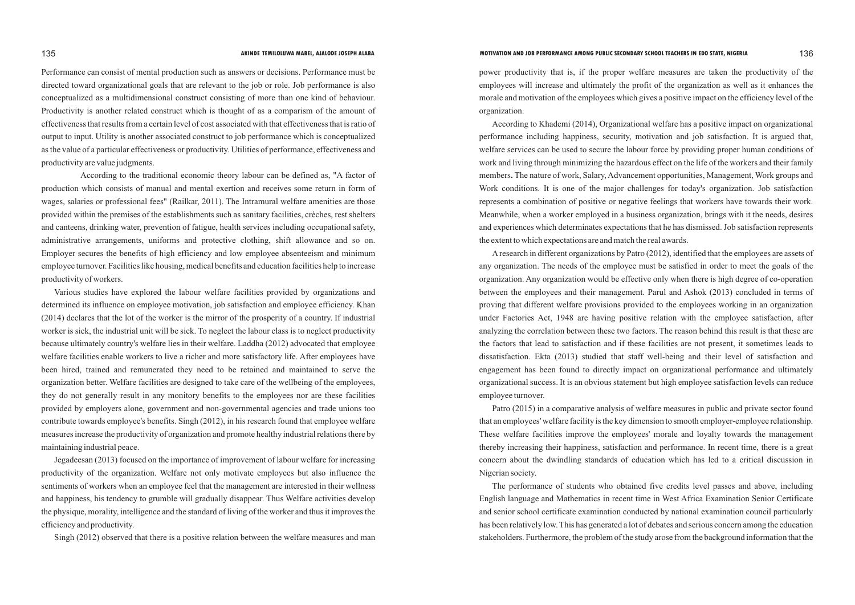Performance can consist of mental production such as answers or decisions. Performance must be directed toward organizational goals that are relevant to the job or role. Job performance is also conceptualized as a multidimensional construct consisting of more than one kind of behaviour. Productivity is another related construct which is thought of as a comparism of the amount of effectiveness that results from a certain level of cost associated with that effectiveness that is ratio of output to input. Utility is another associated construct to job performance which is conceptualized as the value of a particular effectiveness or productivity. Utilities of performance, effectiveness and productivity are value judgments.

According to the traditional economic theory labour can be defined as, "A factor of production which consists of manual and mental exertion and receives some return in form of wages, salaries or professional fees" (Railkar, 2011). The Intramural welfare amenities are those provided within the premises of the establishments such as sanitary facilities, crèches, rest shelters and canteens, drinking water, prevention of fatigue, health services including occupational safety, administrative arrangements, uniforms and protective clothing, shift allowance and so on. Employer secures the benefits of high efficiency and low employee absenteeism and minimum employee turnover. Facilities like housing, medical benefits and education facilities help to increase productivity of workers.

Various studies have explored the labour welfare facilities provided by organizations and determined its influence on employee motivation, job satisfaction and employee efficiency. Khan (2014) declares that the lot of the worker is the mirror of the prosperity of a country. If industrial worker is sick, the industrial unit will be sick. To neglect the labour class is to neglect productivity because ultimately country's welfare lies in their welfare. Laddha (2012) advocated that employee welfare facilities enable workers to live a richer and more satisfactory life. After employees have been hired, trained and remunerated they need to be retained and maintained to serve the organization better. Welfare facilities are designed to take care of the wellbeing of the employees, they do not generally result in any monitory benefits to the employees nor are these facilities provided by employers alone, government and non-governmental agencies and trade unions too contribute towards employee's benefits. Singh (2012), in his research found that employee welfare measures increase the productivity of organization and promote healthy industrial relations there by maintaining industrial peace.

Jegadeesan (2013) focused on the importance of improvement of labour welfare for increasing productivity of the organization. Welfare not only motivate employees but also influence the sentiments of workers when an employee feel that the management are interested in their wellness and happiness, his tendency to grumble will gradually disappear. Thus Welfare activities develop the physique, morality, intelligence and the standard of living of the worker and thus it improves the efficiency and productivity.

Singh (2012) observed that there is a positive relation between the welfare measures and man

power productivity that is, if the proper welfare measures are taken the productivity of the employees will increase and ultimately the profit of the organization as well as it enhances the morale and motivation of the employees which gives a positive impact on the efficiency level of the organization.

According to Khademi (2014), Organizational welfare has a positive impact on organizational performance including happiness, security, motivation and job satisfaction. It is argued that, welfare services can be used to secure the labour force by providing proper human conditions of work and living through minimizing the hazardous effect on the life of the workers and their family members**.** The nature of work, Salary, Advancement opportunities, Management, Work groups and Work conditions. It is one of the major challenges for today's organization. Job satisfaction represents a combination of positive or negative feelings that workers have towards their work. Meanwhile, when a worker employed in a business organization, brings with it the needs, desires and experiences which determinates expectations that he has dismissed. Job satisfaction represents the extent to which expectations are and match the real awards.

Aresearch in different organizations by Patro (2012), identified that the employees are assets of any organization. The needs of the employee must be satisfied in order to meet the goals of the organization. Any organization would be effective only when there is high degree of co-operation between the employees and their management. Parul and Ashok (2013) concluded in terms of proving that different welfare provisions provided to the employees working in an organization under Factories Act, 1948 are having positive relation with the employee satisfaction, after analyzing the correlation between these two factors. The reason behind this result is that these are the factors that lead to satisfaction and if these facilities are not present, it sometimes leads to dissatisfaction. Ekta (2013) studied that staff well-being and their level of satisfaction and engagement has been found to directly impact on organizational performance and ultimately organizational success. It is an obvious statement but high employee satisfaction levels can reduce employee turnover.

Patro (2015) in a comparative analysis of welfare measures in public and private sector found that an employees' welfare facility is the key dimension to smooth employer-employee relationship. These welfare facilities improve the employees' morale and loyalty towards the management thereby increasing their happiness, satisfaction and performance. In recent time, there is a great concern about the dwindling standards of education which has led to a critical discussion in Nigerian society.

The performance of students who obtained five credits level passes and above, including English language and Mathematics in recent time in West Africa Examination Senior Certificate and senior school certificate examination conducted by national examination council particularly has been relatively low. This has generated a lot of debates and serious concern among the education stakeholders. Furthermore, the problem of the study arose from the background information that the

#### 135 **AKINDE TEMILOLUWA MABEL, AJALODE JOSEPH ALABA MOTIVATION AND JOB PERFORMANCE AMONG PUBLIC SECONDARY SCHOOL TEACHERS IN EDO STATE, NIGERIA** 136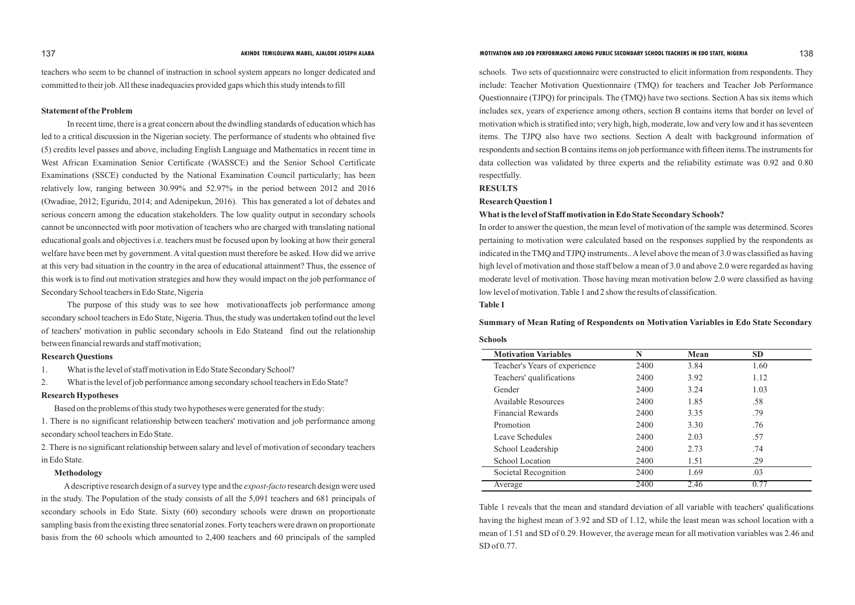teachers who seem to be channel of instruction in school system appears no longer dedicated and committed to their job. All these inadequacies provided gaps which this study intends to fill

#### **Statement of the Problem**

In recent time, there is a great concern about the dwindling standards of education which has led to a critical discussion in the Nigerian society. The performance of students who obtained five (5) credits level passes and above, including English Language and Mathematics in recent time in West African Examination Senior Certificate (WASSCE) and the Senior School Certificate Examinations (SSCE) conducted by the National Examination Council particularly; has been relatively low, ranging between 30.99% and 52.97% in the period between 2012 and 2016 (Owadiae, 2012; Eguridu, 2014; and Adenipekun, 2016). This has generated a lot of debates and serious concern among the education stakeholders. The low quality output in secondary schools cannot be unconnected with poor motivation of teachers who are charged with translating national educational goals and objectives i.e. teachers must be focused upon by looking at how their general welfare have been met by government. Avital question must therefore be asked. How did we arrive at this very bad situation in the country in the area of educational attainment? Thus, the essence of this work is to find out motivation strategies and how they would impact on the job performance of Secondary School teachers in Edo State, Nigeria

The purpose of this study was to see how motivationaffects job performance among secondary school teachers in Edo State, Nigeria. Thus, the study was undertaken tofind out the level of teachers' motivation in public secondary schools in Edo Stateand find out the relationship between financial rewards and staff motivation;

#### **Research Questions**

1. What is the level of staff motivation in Edo State Secondary School?

2. What is the level of job performance among secondary school teachers in Edo State?

#### **Research Hypotheses**

Based on the problems of this study two hypotheses were generated for the study:

1. There is no significant relationship between teachers' motivation and job performance among secondary school teachers in Edo State.

2. There is no significant relationship between salary and level of motivation of secondary teachers in Edo State.

#### **Methodology**

 Adescriptive research design of a survey type and the *expost-facto* research design were used in the study. The Population of the study consists of all the 5,091 teachers and 681 principals of secondary schools in Edo State. Sixty (60) secondary schools were drawn on proportionate sampling basis from the existing three senatorial zones. Forty teachers were drawn on proportionate basis from the 60 schools which amounted to 2,400 teachers and 60 principals of the sampled

#### AKINDE TEMILOLUWA MABEL, AJALODE JOSEPH ALABA<br>
138

schools. Two sets of questionnaire were constructed to elicit information from respondents. They include: Teacher Motivation Questionnaire (TMQ) for teachers and Teacher Job Performance Questionnaire (TJPQ) for principals. The (TMQ) have two sections. Section A has six items which includes sex, years of experience among others, section B contains items that border on level of motivation which is stratified into; very high, high, moderate, low and very low and it has seventeen items. The TJPQ also have two sections. Section A dealt with background information of respondents and section B contains items on job performance with fifteen items.The instruments for data collection was validated by three experts and the reliability estimate was 0.92 and 0.80 respectfully.

#### **RESULTS**

#### **Research Question 1**

# **What is the level of Staff motivation in Edo State Secondary Schools?** In order to answer the question, the mean level of motivation of the sample was determined. Scores

pertaining to motivation were calculated based on the responses supplied by the respondents as indicated in the TMQ and TJPQ instruments.. Alevel above the mean of 3.0 was classified as having high level of motivation and those staff below a mean of 3.0 and above 2.0 were regarded as having moderate level of motivation. Those having mean motivation below 2.0 were classified as having

low level of motivation. Table 1 and 2 show the results of classification. **Table 1**

#### **Summary of Mean Rating of Respondents on Motivation Variables in Edo State Secondary**

#### **Schools**

| <b>Motivation Variables</b>   | N    | Mean | <b>SD</b> |  |
|-------------------------------|------|------|-----------|--|
| Teacher's Years of experience | 2400 | 3.84 | 1.60      |  |
| Teachers' qualifications      | 2400 | 3.92 | 1.12      |  |
| Gender                        | 2400 | 3.24 | 1.03      |  |
| Available Resources           | 2400 | 1.85 | .58       |  |
| <b>Financial Rewards</b>      | 2400 | 3.35 | .79       |  |
| Promotion                     | 2400 | 3.30 | .76       |  |
| Leave Schedules               | 2400 | 2.03 | .57       |  |
| School Leadership             | 2400 | 2.73 | .74       |  |
| <b>School Location</b>        | 2400 | 1.51 | .29       |  |
| Societal Recognition          | 2400 | 1.69 | .03       |  |
| Average                       | 2400 | 2.46 | 0.77      |  |

Table 1 reveals that the mean and standard deviation of all variable with teachers' qualifications having the highest mean of 3.92 and SD of 1.12, while the least mean was school location with a mean of 1.51 and SD of 0.29. However, the average mean for all motivation variables was 2.46 and SD of 0.77.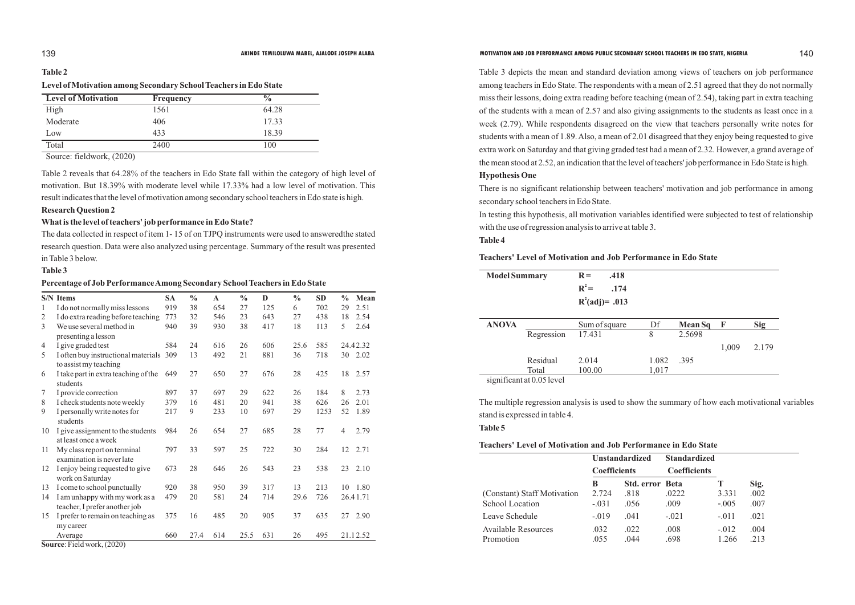|                | <b>S/N</b> Items                                                | <b>SA</b> | $\frac{0}{0}$ | $\mathbf A$ | $\frac{0}{0}$ | D   | $\frac{0}{0}$ | <b>SD</b> | $\frac{0}{0}$  | Mean     |
|----------------|-----------------------------------------------------------------|-----------|---------------|-------------|---------------|-----|---------------|-----------|----------------|----------|
| 1              | I do not normally miss lessons                                  | 919       | 38            | 654         | 27            | 125 | 6             | 702       | 29             | 2.51     |
| $\overline{2}$ | I do extra reading before teaching                              | 773       | 32            | 546         | 23            | 643 | 27            | 438       | 18             | 2.54     |
| 3              | We use several method in<br>presenting a lesson                 | 940       | 39            | 930         | 38            | 417 | 18            | 113       | 5              | 2.64     |
| 4              | I give graded test                                              | 584       | 24            | 616         | 26            | 606 | 25.6          | 585       |                | 24.42.32 |
| 5              | I often buy instructional materials<br>to assist my teaching    | 309       | 13            | 492         | 21            | 881 | 36            | 718       | 30             | 2.02     |
| 6              | I take part in extra teaching of the<br>students                | 649       | 27            | 650         | 27            | 676 | 28            | 425       | 18             | 2.57     |
| $\tau$         | I provide correction                                            | 897       | 37            | 697         | 29            | 622 | 26            | 184       | 8              | 2.73     |
| $8\,$          | I check students note weekly                                    | 379       | 16            | 481         | 20            | 941 | 38            | 626       | 26             | 2.01     |
| 9              | I personally write notes for<br>students                        | 217       | 9             | 233         | 10            | 697 | 29            | 1253      | 52             | 1.89     |
| 10             | I give assignment to the students<br>at least once a week       | 984       | 26            | 654         | 27            | 685 | 28            | 77        | $\overline{4}$ | 2.79     |
| 11             | My class report on terminal<br>examination is never late        | 797       | 33            | 597         | 25            | 722 | 30            | 284       | 12             | 2.71     |
| 12             | I enjoy being requested to give<br>work on Saturday             | 673       | 28            | 646         | 26            | 543 | 23            | 538       | 23             | 2.10     |
| 13             | I come to school punctually                                     | 920       | 38            | 950         | 39            | 317 | 13            | 213       | 10             | 1.80     |
| 14             | I am unhappy with my work as a<br>teacher, I prefer another job | 479       | 20            | 581         | 24            | 714 | 29.6          | 726       |                | 26.41.71 |
| 15             | I prefer to remain on teaching as<br>my career                  | 375       | 16            | 485         | 20            | 905 | 37            | 635       | 27             | 2.90     |
|                | Average                                                         | 660       | 27.4          | 614         | 25.5          | 631 | 26            | 495       |                | 21.12.52 |
|                | Source: Field work, (2020)                                      |           |               |             |               |     |               |           |                |          |

#### AKINDE TEMILOLUWA MABEL, AJALODE JOSEPH ALABA<br>
140

Table 3 depicts the mean and standard deviation among views of teachers on job performance among teachers in Edo State. The respondents with a mean of 2.51 agreed that they do not normally miss their lessons, doing extra reading before teaching (mean of 2.54), taking part in extra teaching of the students with a mean of 2.57 and also giving assignments to the students as least once in a week (2.79). While respondents disagreed on the view that teachers personally write notes for students with a mean of 1.89. Also, a mean of 2.01 disagreed that they enjoy being requested to give extra work on Saturday and that giving graded test had a mean of 2.32. However, a grand average of the mean stood at 2.52, an indication that the level of teachers' job performance in Edo State is high.

## **Hypothesis One**

There is no significant relationship between teachers' motivation and job performance in among secondary school teachers in Edo State.

In testing this hypothesis, all motivation variables identified were subjected to test of relationship with the use of regression analysis to arrive at table 3. **Table 4**

## **Teachers' Level of Motivation and Job Performance in Edo State**

## **Table 2**

## **Level of Motivation among Secondary School Teachers in Edo State**

| <b>Level of Motivation</b> | <b>Frequency</b> | $\frac{6}{6}$ |
|----------------------------|------------------|---------------|
| High                       | 1561             | 64.28         |
| Moderate                   | 406              | 17.33         |
| Low                        | 433              | 18.39         |
| Total                      | 2400             | 100           |

Source: fieldwork, (2020)

Table 2 reveals that 64.28% of the teachers in Edo State fall within the category of high level of motivation. But 18.39% with moderate level while 17.33% had a low level of motivation. This result indicates that the level of motivation among secondary school teachers in Edo state is high.

### **Research Question 2**

#### **What is the level of teachers' job performance in Edo State?**

The data collected in respect of item 1- 15 of on TJPQ instruments were used to answeredthe stated research question. Data were also analyzed using percentage. Summary of the result was presented in Table 3 below.

### **Table 3**

#### **Percentage of Job Performance Among Secondary School Teachers in Edo State**

| <b>Model Summary</b> |                           | $R =$<br>.418<br>$R^2 =$<br>.174<br>$R^{2}(adj)=.013$ |       |                |             |            |
|----------------------|---------------------------|-------------------------------------------------------|-------|----------------|-------------|------------|
| <b>ANOVA</b>         |                           | Sum of square                                         | Df    | <b>Mean Sq</b> | $\mathbf F$ | <b>Sig</b> |
|                      | Regression                | 17.431                                                | 8     | 2.5698         |             |            |
|                      |                           |                                                       |       |                | 1,009       | 2.179      |
|                      | Residual                  | 2.014                                                 | 1.082 | .395           |             |            |
|                      | Total                     | 100.00                                                | 1,017 |                |             |            |
|                      | significant at 0.05 level |                                                       |       |                |             |            |

stand is expressed in table 4.

**Table 5**

# **Teachers' Level of Motivation and Job Performance in Edo State**

| leachers' Level of Motivation and Job Performance in Edo State |                     |                       |                     |         |      |  |  |  |
|----------------------------------------------------------------|---------------------|-----------------------|---------------------|---------|------|--|--|--|
|                                                                |                     | <b>Unstandardized</b> | <b>Standardized</b> |         |      |  |  |  |
|                                                                | <b>Coefficients</b> |                       | <b>Coefficients</b> |         |      |  |  |  |
|                                                                | B                   | Std. error Beta       |                     | T       | Sig. |  |  |  |
| (Constant) Staff Motivation                                    | 2.724               | .818                  | .0222               | 3.331   | .002 |  |  |  |
| <b>School Location</b>                                         | $-.031$             | .056                  | .009                | $-.005$ | .007 |  |  |  |
| Leave Schedule                                                 | $-.019$             | .041                  | $-.021$             | $-.011$ | .021 |  |  |  |
| <b>Available Resources</b>                                     | .032                | .022                  | .008                | $-.012$ | .004 |  |  |  |
| Promotion                                                      | .055                | .044                  | .698                | 1.266   | .213 |  |  |  |
|                                                                |                     |                       |                     |         |      |  |  |  |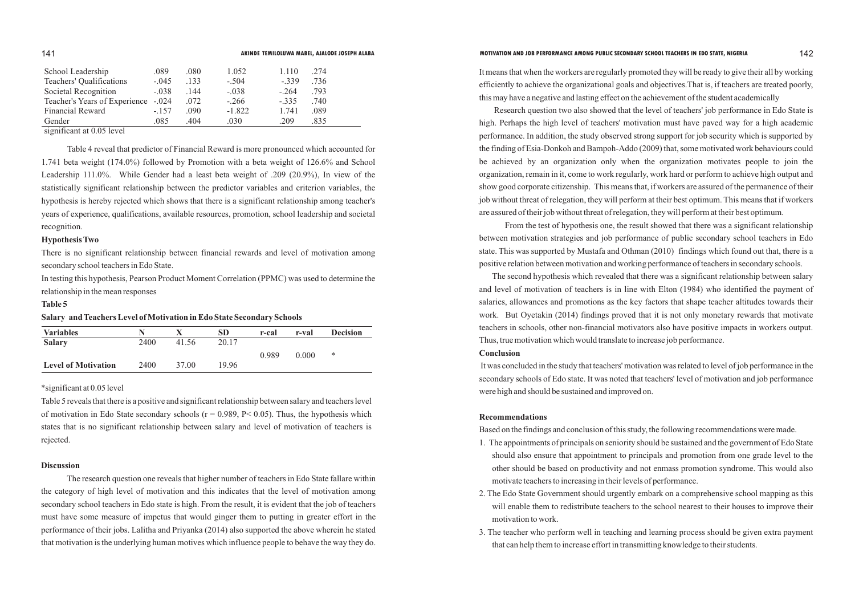Table 4 reveal that predictor of Financial Reward is more pronounced which accounted for 1.741 beta weight (174.0%) followed by Promotion with a beta weight of 126.6% and School Leadership 111.0%. While Gender had a least beta weight of .209 (20.9%), In view of the statistically significant relationship between the predictor variables and criterion variables, the hypothesis is hereby rejected which shows that there is a significant relationship among teacher's years of experience, qualifications, available resources, promotion, school leadership and societal recognition.

#### **Hypothesis Two**

There is no significant relationship between financial rewards and level of motivation among secondary school teachers in Edo State.

In testing this hypothesis, Pearson Product Moment Correlation (PPMC) was used to determine the relationship in the mean responses

#### **Table 5**

#### **Salary and Teachers Level of Motivation in Edo State Secondary Schools**

It means that when the workers are regularly promoted they will be ready to give their all by working efficiently to achieve the organizational goals and objectives.That is, if teachers are treated poorly, this may have a negative and lasting effect on the achievement of the student academically

Research question two also showed that the level of teachers' job performance in Edo State is high. Perhaps the high level of teachers' motivation must have paved way for a high academic performance. In addition, the study observed strong support for job security which is supported by the finding of Esia-Donkoh and Bampoh-Addo (2009) that, some motivated work behaviours could be achieved by an organization only when the organization motivates people to join the organization, remain in it, come to work regularly, work hard or perform to achieve high output and show good corporate citizenship. This means that, if workers are assured of the permanence of their job without threat of relegation, they will perform at their best optimum. This means that if workers are assured of their job without threat of relegation, they will perform at their best optimum.

From the test of hypothesis one, the result showed that there was a significant relationship between motivation strategies and job performance of public secondary school teachers in Edo state. This was supported by Mustafa and Othman (2010) findings which found out that, there is a positive relation between motivation and working performance of teachers in secondary schools.

The second hypothesis which revealed that there was a significant relationship between salary and level of motivation of teachers is in line with Elton (1984) who identified the payment of salaries, allowances and promotions as the key factors that shape teacher altitudes towards their work. But Oyetakin (2014) findings proved that it is not only monetary rewards that motivate teachers in schools, other non-financial motivators also have positive impacts in workers output. Thus, true motivation which would translate to increase job performance. **Conclusion**

It was concluded in the study that teachers' motivation was related to level of job performance in the secondary schools of Edo state. It was noted that teachers' level of motivation and job performance were high and should be sustained and improved on.

#### **Recommendations**

Based on the findings and conclusion of this study, the following recommendations were made.

1. The appointments of principals on seniority should be sustained and the government of Edo State should also ensure that appointment to principals and promotion from one grade level to the other should be based on productivity and not enmass promotion syndrome. This would also

2. The Edo State Government should urgently embark on a comprehensive school mapping as this will enable them to redistribute teachers to the school nearest to their houses to improve their

- motivate teachers to increasing in their levels of performance.
- motivation to work.
- that can help them to increase effort in transmitting knowledge to their students.

3. The teacher who perform well in teaching and learning process should be given extra payment

| School Leadership             | .089    | .080 | 1.052    | 1.110   | .274 |  |
|-------------------------------|---------|------|----------|---------|------|--|
| Teachers' Qualifications      | $-.045$ | .133 | $-.504$  | $-.339$ | .736 |  |
| Societal Recognition          | $-.038$ | .144 | $-.038$  | $-.264$ | .793 |  |
| Teacher's Years of Experience | $-.024$ | .072 | $-.266$  | $-.335$ | .740 |  |
| <b>Financial Reward</b>       | $-157$  | .090 | $-1.822$ | 1.741   | .089 |  |
| Gender                        | .085    | 404  | .030     | 209     | 835  |  |

significant at 0.05 level

| <b>Variables</b>           |      |       | SD    | r-cal | r-val | <b>Decision</b> |
|----------------------------|------|-------|-------|-------|-------|-----------------|
| <b>Salary</b>              | 2400 | 41.56 | 20.17 |       |       |                 |
|                            |      |       |       | 0.989 | 0.000 | ∗               |
| <b>Level of Motivation</b> | 2400 | 37.00 | 19.96 |       |       |                 |

#### \*significant at 0.05 level

Table 5 reveals that there is a positive and significant relationship between salary and teachers level of motivation in Edo State secondary schools ( $r = 0.989$ ,  $P < 0.05$ ). Thus, the hypothesis which states that is no significant relationship between salary and level of motivation of teachers is rejected.

#### **Discussion**

The research question one reveals that higher number of teachers in Edo State fallare within the category of high level of motivation and this indicates that the level of motivation among secondary school teachers in Edo state is high. From the result, it is evident that the job of teachers must have some measure of impetus that would ginger them to putting in greater effort in the performance of their jobs. Lalitha and Priyanka (2014) also supported the above wherein he stated that motivation is the underlying human motives which influence people to behave the way they do.

#### 141 **AKINDE TEMILOLUWA MABEL, AJALODE JOSEPH ALABA MOTIVATION AND JOB PERFORMANCE AMONG PUBLIC SECONDARY SCHOOL TEACHERS IN EDO STATE, NIGERIA** 142